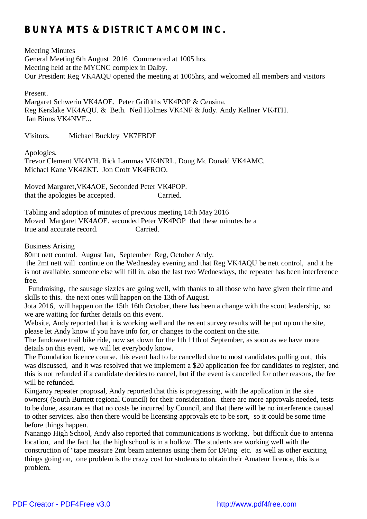# **BUNYA MTS & DISTRICT AMCOM INC.**

Meeting Minutes General Meeting 6th August 2016 Commenced at 1005 hrs. Meeting held at the MYCNC complex in Dalby. Our President Reg VK4AQU opened the meeting at 1005hrs, and welcomed all members and visitors

Present.

Margaret Schwerin VK4AOE. Peter Griffiths VK4POP & Censina. Reg Kerslake VK4AQU. & Beth. Neil Holmes VK4NF & Judy. Andy Kellner VK4TH. Ian Binns VK4NVF...

Visitors. Michael Buckley VK7FBDF

Apologies.

Trevor Clement VK4YH. Rick Lammas VK4NRL. Doug Mc Donald VK4AMC. Michael Kane VK4ZKT. Jon Croft VK4FROO.

Moved Margaret,VK4AOE, Seconded Peter VK4POP. that the apologies be accepted. Carried.

Tabling and adoption of minutes of previous meeting 14th May 2016 Moved Margaret VK4AOE. seconded Peter VK4POP that these minutes be a true and accurate record. Carried.

### Business Arising

80mt nett control. August Ian, September Reg, October Andy.

the 2mt nett will continue on the Wednesday evening and that Reg VK4AQU be nett control, and it he is not available, someone else will fill in. also the last two Wednesdays, the repeater has been interference free.

Fundraising, the sausage sizzles are going well, with thanks to all those who have given their time and skills to this. the next ones will happen on the 13th of August.

Jota 2016, will happen on the 15th 16th October, there has been a change with the scout leadership, so we are waiting for further details on this event.

Website, Andy reported that it is working well and the recent survey results will be put up on the site, please let Andy know if you have info for, or changes to the content on the site.

The Jandowae trail bike ride, now set down for the 1th 11th of September, as soon as we have more details on this event, we will let everybody know.

The Foundation licence course. this event had to be cancelled due to most candidates pulling out, this was discussed, and it was resolved that we implement a \$20 application fee for candidates to register, and this is not refunded if a candidate decides to cancel, but if the event is cancelled for other reasons, the fee will be refunded.

Kingaroy repeater proposal, Andy reported that this is progressing, with the application in the site owners( (South Burnett regional Council) for their consideration. there are more approvals needed, tests to be done, assurances that no costs be incurred by Council, and that there will be no interference caused to other services. also then there would be licensing approvals etc to be sort, so it could be some time before things happen.

Nanango High School, Andy also reported that communications is working, but difficult due to antenna location, and the fact that the high school is in a hollow. The students are working well with the construction of "tape measure 2mt beam antennas using them for DFing etc. as well as other exciting things going on, one problem is the crazy cost for students to obtain their Amateur licence, this is a problem.